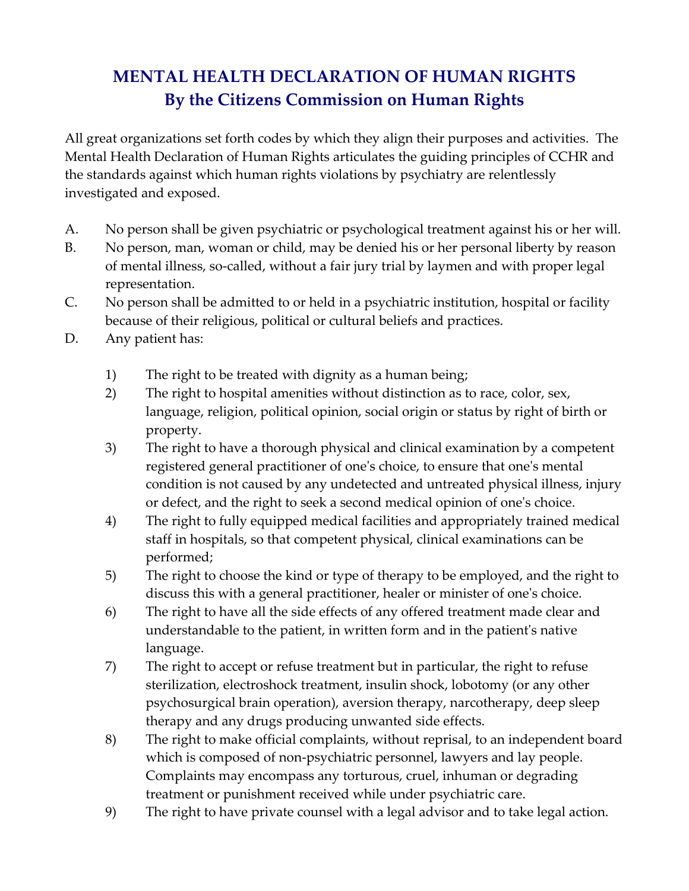## **MENTAL HEALTH DECLARATION OF HUMAN RIGHTS By the Citizens Commission on Human Rights**

All great organizations set forth codes by which they align their purposes and activities. The Mental Health Declaration of Human Rights articulates the guiding principles of CCHR and the standards against which human rights violations by psychiatry are relentlessly investigated and exposed.

- A. No person shall be given psychiatric or psychological treatment against his or her will.
- B. No person, man, woman or child, may be denied his or her personal liberty by reason of mental illness, so-called, without a fair jury trial by laymen and with proper legal representation.
- C. No person shall be admitted to or held in a psychiatric institution, hospital or facility because of their religious, political or cultural beliefs and practices.
- D. Any patient has:
	- 1) The right to be treated with dignity as a human being;
	- 2) The right to hospital amenities without distinction as to race, color, sex, language, religion, political opinion, social origin or status by right of birth or property.
	- 3) The right to have a thorough physical and clinical examination by a competent registered general practitioner of oneʹs choice, to ensure that oneʹs mental condition is not caused by any undetected and untreated physical illness, injury or defect, and the right to seek a second medical opinion of oneʹs choice.
	- 4) The right to fully equipped medical facilities and appropriately trained medical staff in hospitals, so that competent physical, clinical examinations can be performed;
	- 5) The right to choose the kind or type of therapy to be employed, and the right to discuss this with a general practitioner, healer or minister of one's choice.
	- 6) The right to have all the side effects of any offered treatment made clear and understandable to the patient, in written form and in the patientʹs native language.
	- 7) The right to accept or refuse treatment but in particular, the right to refuse sterilization, electroshock treatment, insulin shock, lobotomy (or any other psychosurgical brain operation), aversion therapy, narcotherapy, deep sleep therapy and any drugs producing unwanted side effects.
	- 8) The right to make official complaints, without reprisal, to an independent board which is composed of non-psychiatric personnel, lawyers and lay people. Complaints may encompass any torturous, cruel, inhuman or degrading treatment or punishment received while under psychiatric care.
	- 9) The right to have private counsel with a legal advisor and to take legal action.